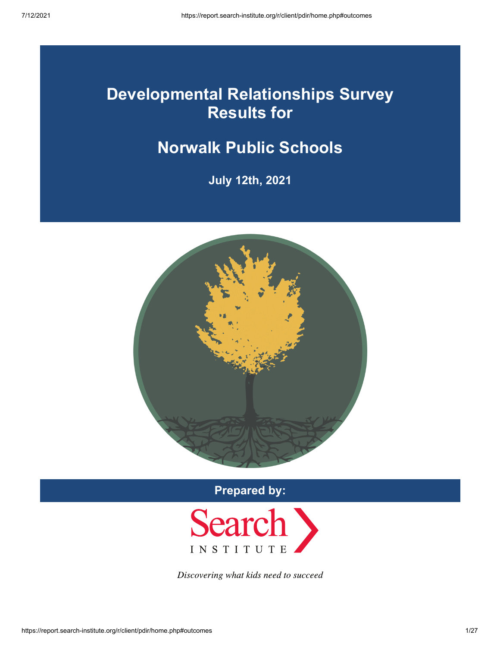# **Developmental Relationships Survey Results for**

# **Norwalk Public Schools**

**July 12th, 2021**



**Prepared by:**



Discovering what kids need to succeed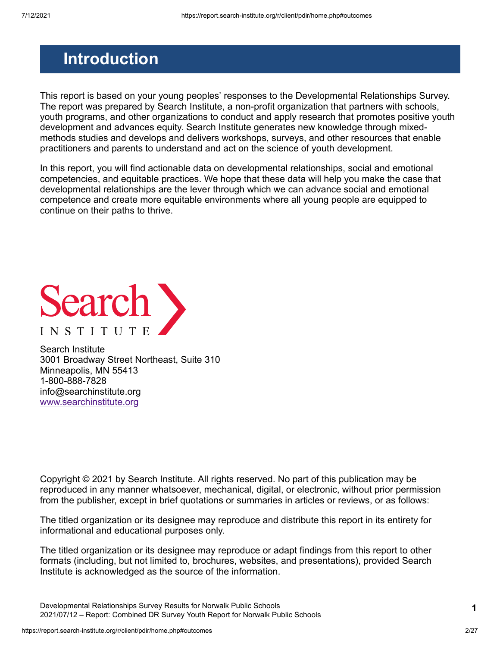## <span id="page-1-0"></span>**Introduction**

This report is based on your young peoples' responses to the Developmental Relationships Survey. The report was prepared by Search Institute, a non-profit organization that partners with schools, youth programs, and other organizations to conduct and apply research that promotes positive youth development and advances equity. Search Institute generates new knowledge through mixedmethods studies and develops and delivers workshops, surveys, and other resources that enable practitioners and parents to understand and act on the science of youth development.

In this report, you will find actionable data on developmental relationships, social and emotional competencies, and equitable practices. We hope that these data will help you make the case that developmental relationships are the lever through which we can advance social and emotional competence and create more equitable environments where all young people are equipped to continue on their paths to thrive.



Search Institute 3001 Broadway Street Northeast, Suite 310 Minneapolis, MN 55413 1-800-888-7828 info@searchinstitute.org [www.searchinstitute.org](https://www.search-institute.org/)

Copyright © 2021 by Search Institute. All rights reserved. No part of this publication may be reproduced in any manner whatsoever, mechanical, digital, or electronic, without prior permission from the publisher, except in brief quotations or summaries in articles or reviews, or as follows:

The titled organization or its designee may reproduce and distribute this report in its entirety for informational and educational purposes only.

The titled organization or its designee may reproduce or adapt findings from this report to other formats (including, but not limited to, brochures, websites, and presentations), provided Search Institute is acknowledged as the source of the information.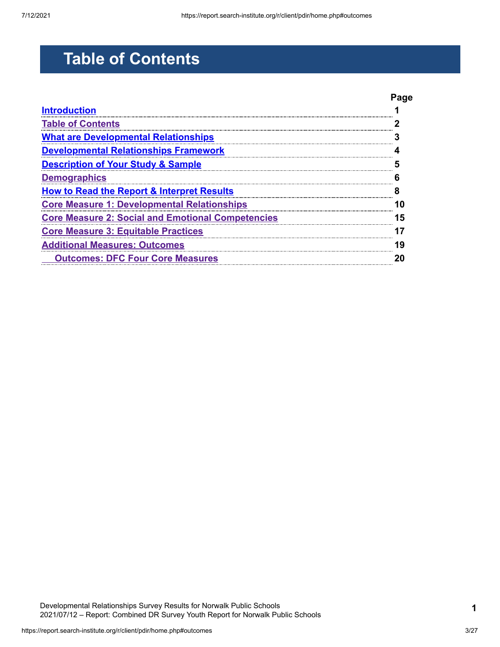# <span id="page-2-0"></span>**Table of Contents**

|                                                          | Page |
|----------------------------------------------------------|------|
| <b>Introduction</b>                                      |      |
| <b>Table of Contents</b>                                 |      |
| <u>What are Developmental Relationships</u>              |      |
| <b>Developmental Relationships Framework</b>             |      |
| <b>Description of Your Study &amp; Sample</b>            |      |
| <b>Demographics</b>                                      |      |
| <b>How to Read the Report &amp; Interpret Results</b>    |      |
| <b>Core Measure 1: Developmental Relationships</b>       |      |
| <b>Core Measure 2: Social and Emotional Competencies</b> | 5    |
| <u>Core Measure 3: Equitable Practices</u>               |      |
| <b>Additional Measures: Outcomes</b>                     | g    |
| <b>Outcomes: DFC Four Core Measures</b>                  |      |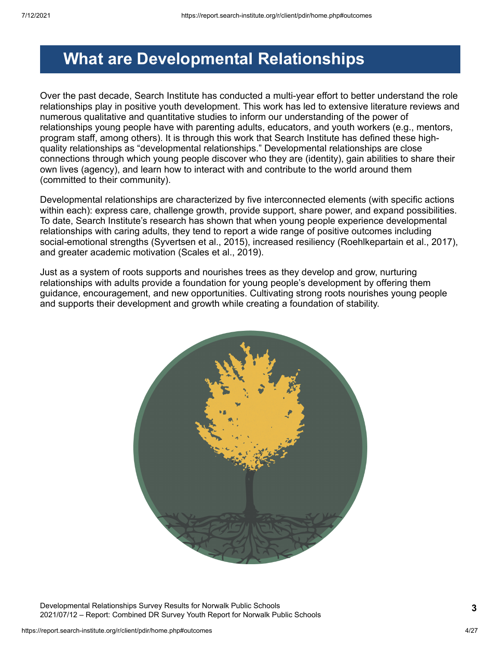## <span id="page-3-0"></span>**What are Developmental Relationships**

Over the past decade, Search Institute has conducted a multi-year effort to better understand the role relationships play in positive youth development. This work has led to extensive literature reviews and numerous qualitative and quantitative studies to inform our understanding of the power of relationships young people have with parenting adults, educators, and youth workers (e.g., mentors, program staff, among others). It is through this work that Search Institute has defined these highquality relationships as "developmental relationships." Developmental relationships are close connections through which young people discover who they are (identity), gain abilities to share their own lives (agency), and learn how to interact with and contribute to the world around them (committed to their community).

Developmental relationships are characterized by five interconnected elements (with specific actions within each): express care, challenge growth, provide support, share power, and expand possibilities. To date, Search Institute's research has shown that when young people experience developmental relationships with caring adults, they tend to report a wide range of positive outcomes including social-emotional strengths (Syvertsen et al., 2015), increased resiliency (Roehlkepartain et al., 2017), and greater academic motivation (Scales et al., 2019).

Just as a system of roots supports and nourishes trees as they develop and grow, nurturing relationships with adults provide a foundation for young people's development by offering them guidance, encouragement, and new opportunities. Cultivating strong roots nourishes young people and supports their development and growth while creating a foundation of stability.



Developmental Relationships Survey Results for Norwalk Public Schools 2021/07/12 – Report: Combined DR Survey Youth Report for Norwalk Public Schools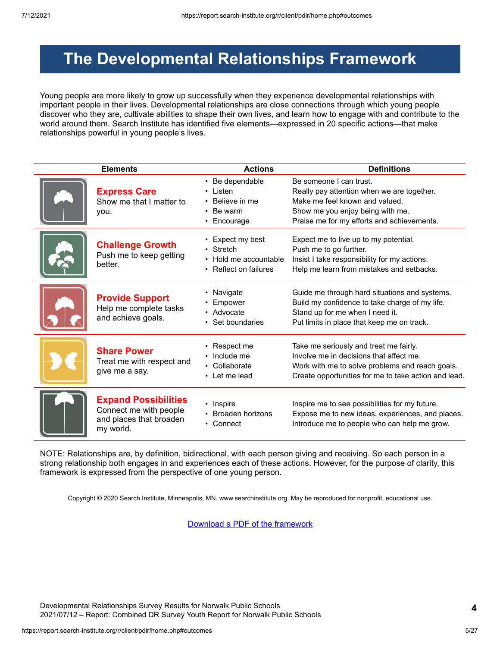## <span id="page-4-0"></span>**The Developmental Relationships Framework**

Young people are more likely to grow up successfully when they experience developmental relationships with important people in their lives. Developmental relationships are close connections through which young people discover who they are, cultivate abilities to shape their own lives, and learn how to engage with and contribute to the world around them. Search Institute has identified five elements—expressed in 20 specific actions—that make relationships powerful in young people's lives.

| <b>Elements</b>                                                                               | <b>Actions</b>                                                                  | <b>Definitions</b>                                                                                                                                                                           |  |  |  |
|-----------------------------------------------------------------------------------------------|---------------------------------------------------------------------------------|----------------------------------------------------------------------------------------------------------------------------------------------------------------------------------------------|--|--|--|
| <b>Express Care</b><br>Show me that I matter to<br>you.                                       | • Be dependable<br>Listen<br>Believe in me<br>Be warm<br>Encourage<br>$\bullet$ | Be someone I can trust.<br>Really pay attention when we are together.<br>Make me feel known and valued.<br>Show me you enjoy being with me.<br>Praise me for my efforts and achievements.    |  |  |  |
| <b>Challenge Growth</b><br>Push me to keep getting<br>better.                                 | Expect my best<br>Stretch<br>Hold me accountable<br>• Reflect on failures       | Expect me to live up to my potential.<br>Push me to go further.<br>Insist I take responsibility for my actions.<br>Help me learn from mistakes and setbacks.                                 |  |  |  |
| <b>Provide Support</b><br>Help me complete tasks<br>and achieve goals.                        | Navigate<br>Empower<br>• Advocate<br>Set boundaries                             | Guide me through hard situations and systems.<br>Build my confidence to take charge of my life.<br>Stand up for me when I need it.<br>Put limits in place that keep me on track.             |  |  |  |
| <b>Share Power</b><br>Treat me with respect and<br>give me a say.                             | Respect me<br>Include me<br>Collaborate<br>• Let me lead                        | Take me seriously and treat me fairly.<br>Involve me in decisions that affect me.<br>Work with me to solve problems and reach goals.<br>Create opportunities for me to take action and lead. |  |  |  |
| <b>Expand Possibilities</b><br>Connect me with people<br>and places that broaden<br>my world. | • Inspire<br>Broaden horizons<br>• Connect                                      | Inspire me to see possibilities for my future.<br>Expose me to new ideas, experiences, and places.<br>Introduce me to people who can help me grow.                                           |  |  |  |

NOTE: Relationships are, by definition, bidirectional, with each person giving and receiving. So each person in a strong relationship both engages in and experiences each of these actions. However, for the purpose of clarity, this framework is expressed from the perspective of one young person.

Copyright © 2020 Search Institute, Minneapolis, MN. www.searchinstitute.org. May be reproduced for nonprofit, educational use.

[Download a PDF of the framework](https://report.search-institute.org/r/images/drs/Developmental_Relationships_Framework_English_2019-03-25.pdf)

Developmental Relationships Survey Results for Norwalk Public Schools 2021/07/12 – Report: Combined DR Survey Youth Report for Norwalk Public Schools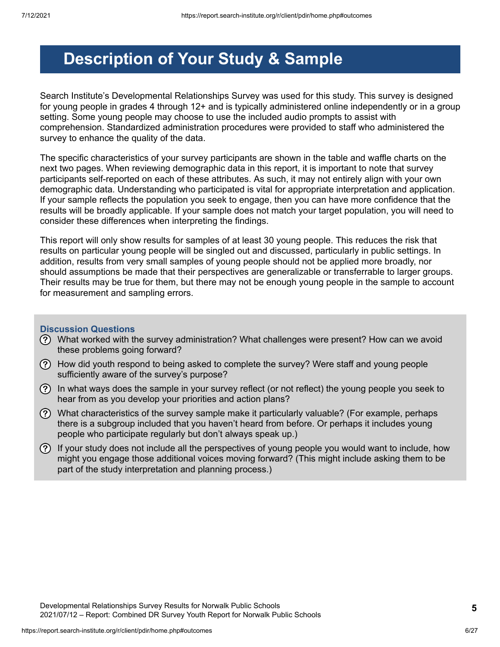# <span id="page-5-0"></span>**Description of Your Study & Sample**

Search Institute's Developmental Relationships Survey was used for this study. This survey is designed for young people in grades 4 through 12+ and is typically administered online independently or in a group setting. Some young people may choose to use the included audio prompts to assist with comprehension. Standardized administration procedures were provided to staff who administered the survey to enhance the quality of the data.

The specific characteristics of your survey participants are shown in the table and waffle charts on the next two pages. When reviewing demographic data in this report, it is important to note that survey participants self-reported on each of these attributes. As such, it may not entirely align with your own demographic data. Understanding who participated is vital for appropriate interpretation and application. If your sample reflects the population you seek to engage, then you can have more confidence that the results will be broadly applicable. If your sample does not match your target population, you will need to consider these differences when interpreting the findings.

This report will only show results for samples of at least 30 young people. This reduces the risk that results on particular young people will be singled out and discussed, particularly in public settings. In addition, results from very small samples of young people should not be applied more broadly, nor should assumptions be made that their perspectives are generalizable or transferrable to larger groups. Their results may be true for them, but there may not be enough young people in the sample to account for measurement and sampling errors.

### **Discussion Questions**

- What worked with the survey administration? What challenges were present? How can we avoid these problems going forward?
- How did youth respond to being asked to complete the survey? Were staff and young people sufficiently aware of the survey's purpose?
- In what ways does the sample in your survey reflect (or not reflect) the young people you seek to hear from as you develop your priorities and action plans?
- $\Omega$  What characteristics of the survey sample make it particularly valuable? (For example, perhaps there is a subgroup included that you haven't heard from before. Or perhaps it includes young people who participate regularly but don't always speak up.)
- $(?)$  If your study does not include all the perspectives of young people you would want to include, how might you engage those additional voices moving forward? (This might include asking them to be part of the study interpretation and planning process.)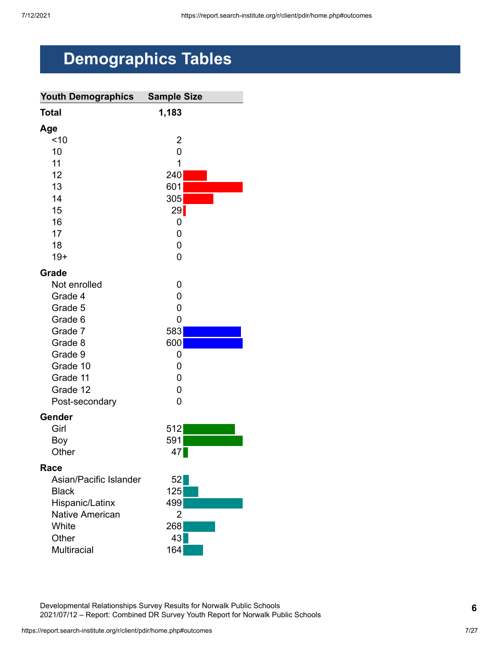# <span id="page-6-0"></span>**Demographics Tables**

| <b>Youth Demographics</b> | <b>Sample Size</b> |
|---------------------------|--------------------|
| <b>Total</b>              | 1,183              |
| Age                       |                    |
| ~10                       | 2                  |
| 10                        | 0                  |
| 11                        | 1                  |
| 12                        | 240                |
| 13                        | 601                |
| 14                        | 305                |
| 15                        | 29                 |
| 16                        | 0                  |
| 17                        | 0                  |
| 18                        | 0                  |
| $19+$                     | 0                  |
| Grade                     |                    |
| Not enrolled              | 0                  |
| Grade 4                   | 0                  |
| Grade 5                   | 0                  |
| Grade 6                   | 0                  |
| Grade 7                   | 583                |
| Grade 8                   | 600                |
| Grade 9                   | 0                  |
| Grade 10                  | 0                  |
| Grade 11                  | 0                  |
| Grade 12                  | 0                  |
| Post-secondary            | 0                  |
| Gender                    |                    |
| Girl                      | 512                |
| Boy                       | 591                |
| Other                     | 47                 |
| Race                      |                    |
| Asian/Pacific Islander    | 52                 |
| <b>Black</b>              | 125                |
| Hispanic/Latinx           | 499                |
| <b>Native American</b>    | 2                  |
| White                     | 268                |
| Other                     | 43                 |
| <b>Multiracial</b>        | 164                |

Developmental Relationships Survey Results for Norwalk Public Schools 2021/07/12 – Report: Combined DR Survey Youth Report for Norwalk Public Schools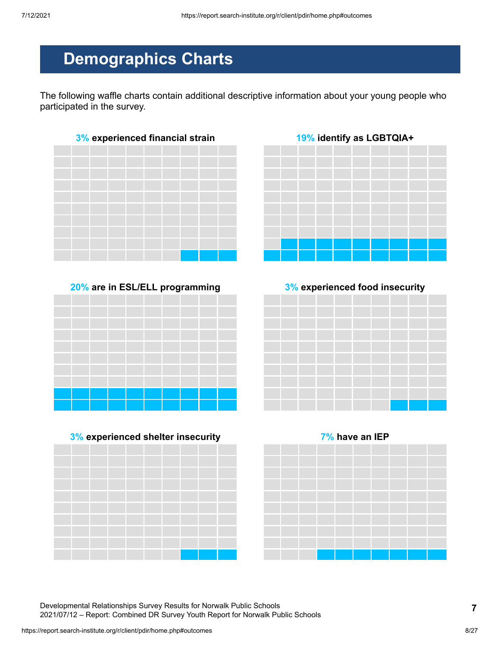# **Demographics Charts**

The following waffle charts contain additional descriptive information about your young people who participated in the survey.













Developmental Relationships Survey Results for Norwalk Public Schools 2021/07/12 – Report: Combined DR Survey Youth Report for Norwalk Public Schools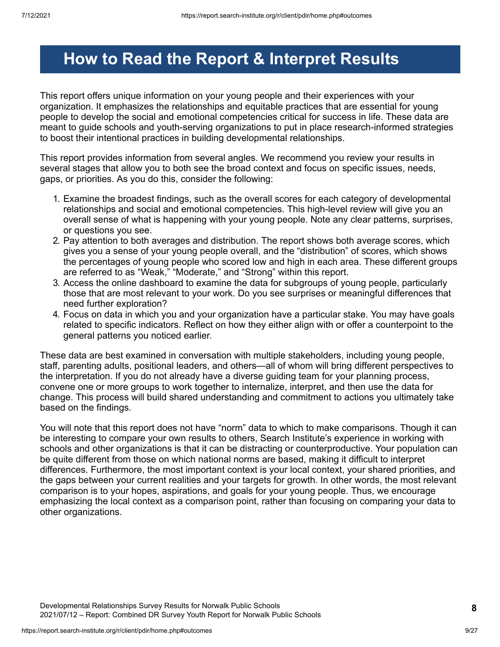# <span id="page-8-0"></span>**How to Read the Report & Interpret Results**

This report offers unique information on your young people and their experiences with your organization. It emphasizes the relationships and equitable practices that are essential for young people to develop the social and emotional competencies critical for success in life. These data are meant to guide schools and youth-serving organizations to put in place research-informed strategies to boost their intentional practices in building developmental relationships.

This report provides information from several angles. We recommend you review your results in several stages that allow you to both see the broad context and focus on specific issues, needs, gaps, or priorities. As you do this, consider the following:

- 1. Examine the broadest findings, such as the overall scores for each category of developmental relationships and social and emotional competencies. This high-level review will give you an overall sense of what is happening with your young people. Note any clear patterns, surprises, or questions you see.
- 2. Pay attention to both averages and distribution. The report shows both average scores, which gives you a sense of your young people overall, and the "distribution" of scores, which shows the percentages of young people who scored low and high in each area. These different groups are referred to as "Weak," "Moderate," and "Strong" within this report.
- 3. Access the online dashboard to examine the data for subgroups of young people, particularly those that are most relevant to your work. Do you see surprises or meaningful differences that need further exploration?
- 4. Focus on data in which you and your organization have a particular stake. You may have goals related to specific indicators. Reflect on how they either align with or offer a counterpoint to the general patterns you noticed earlier.

These data are best examined in conversation with multiple stakeholders, including young people, staff, parenting adults, positional leaders, and others—all of whom will bring different perspectives to the interpretation. If you do not already have a diverse guiding team for your planning process, convene one or more groups to work together to internalize, interpret, and then use the data for change. This process will build shared understanding and commitment to actions you ultimately take based on the findings.

You will note that this report does not have "norm" data to which to make comparisons. Though it can be interesting to compare your own results to others, Search Institute's experience in working with schools and other organizations is that it can be distracting or counterproductive. Your population can be quite different from those on which national norms are based, making it difficult to interpret differences. Furthermore, the most important context is your local context, your shared priorities, and the gaps between your current realities and your targets for growth. In other words, the most relevant comparison is to your hopes, aspirations, and goals for your young people. Thus, we encourage emphasizing the local context as a comparison point, rather than focusing on comparing your data to other organizations.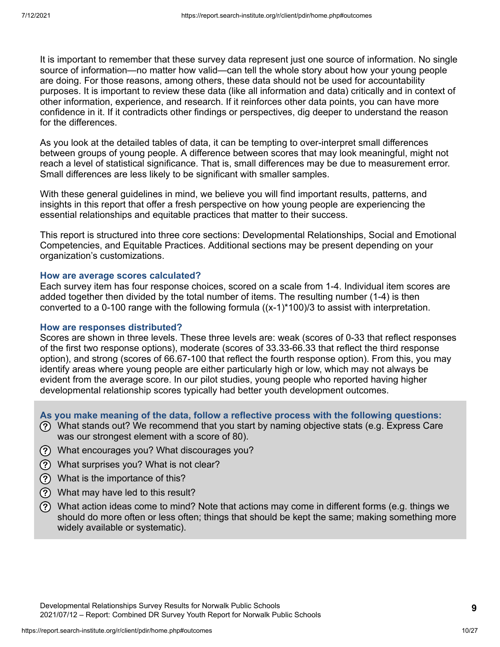It is important to remember that these survey data represent just one source of information. No single source of information—no matter how valid—can tell the whole story about how your young people are doing. For those reasons, among others, these data should not be used for accountability purposes. It is important to review these data (like all information and data) critically and in context of other information, experience, and research. If it reinforces other data points, you can have more confidence in it. If it contradicts other findings or perspectives, dig deeper to understand the reason for the differences.

As you look at the detailed tables of data, it can be tempting to over-interpret small differences between groups of young people. A difference between scores that may look meaningful, might not reach a level of statistical significance. That is, small differences may be due to measurement error. Small differences are less likely to be significant with smaller samples.

With these general guidelines in mind, we believe you will find important results, patterns, and insights in this report that offer a fresh perspective on how young people are experiencing the essential relationships and equitable practices that matter to their success.

This report is structured into three core sections: Developmental Relationships, Social and Emotional Competencies, and Equitable Practices. Additional sections may be present depending on your organization's customizations.

### **How are average scores calculated?**

Each survey item has four response choices, scored on a scale from 1-4. Individual item scores are added together then divided by the total number of items. The resulting number (1-4) is then converted to a 0-100 range with the following formula  $((x-1)^*100)/3$  to assist with interpretation.

#### **How are responses distributed?**

Scores are shown in three levels. These three levels are: weak (scores of 0-33 that reflect responses of the first two response options), moderate (scores of 33.33-66.33 that reflect the third response option), and strong (scores of 66.67-100 that reflect the fourth response option). From this, you may identify areas where young people are either particularly high or low, which may not always be evident from the average score. In our pilot studies, young people who reported having higher developmental relationship scores typically had better youth development outcomes.

**As you make meaning of the data, follow a reflective process with the following questions:**

- What stands out? We recommend that you start by naming objective stats (e.g. Express Care was our strongest element with a score of 80).
- What encourages you? What discourages you?
- What surprises you? What is not clear?
- What is the importance of this?
- What may have led to this result?
- What action ideas come to mind? Note that actions may come in different forms (e.g. things we should do more often or less often; things that should be kept the same; making something more widely available or systematic).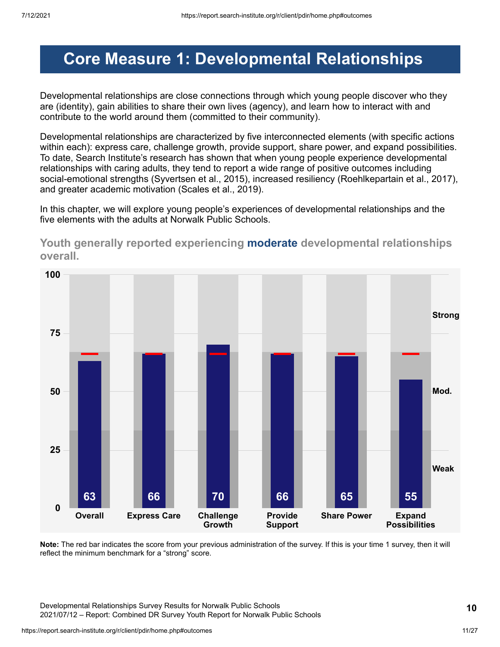## <span id="page-10-0"></span>**Core Measure 1: Developmental Relationships**

Developmental relationships are close connections through which young people discover who they are (identity), gain abilities to share their own lives (agency), and learn how to interact with and contribute to the world around them (committed to their community).

Developmental relationships are characterized by five interconnected elements (with specific actions within each): express care, challenge growth, provide support, share power, and expand possibilities. To date, Search Institute's research has shown that when young people experience developmental relationships with caring adults, they tend to report a wide range of positive outcomes including social-emotional strengths (Syvertsen et al., 2015), increased resiliency (Roehlkepartain et al., 2017), and greater academic motivation (Scales et al., 2019).

In this chapter, we will explore young people's experiences of developmental relationships and the five elements with the adults at Norwalk Public Schools.



**Youth generally reported experiencing moderate developmental relationships overall.**

**Note:** The red bar indicates the score from your previous administration of the survey. If this is your time 1 survey, then it will reflect the minimum benchmark for a "strong" score.

Developmental Relationships Survey Results for Norwalk Public Schools 2021/07/12 – Report: Combined DR Survey Youth Report for Norwalk Public Schools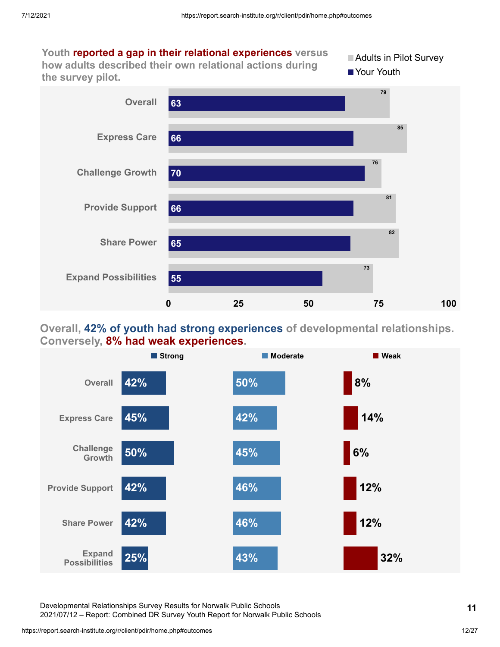

### **Overall, 42% of youth had strong experiences of developmental relationships. Conversely, 8% had weak experiences.**



Developmental Relationships Survey Results for Norwalk Public Schools 2021/07/12 – Report: Combined DR Survey Youth Report for Norwalk Public Schools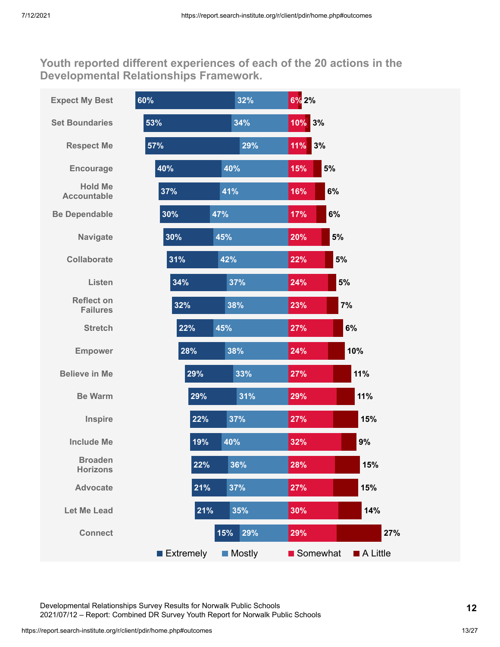**Youth reported different experiences of each of the 20 actions in the Developmental Relationships Framework.**



Developmental Relationships Survey Results for Norwalk Public Schools 2021/07/12 – Report: Combined DR Survey Youth Report for Norwalk Public Schools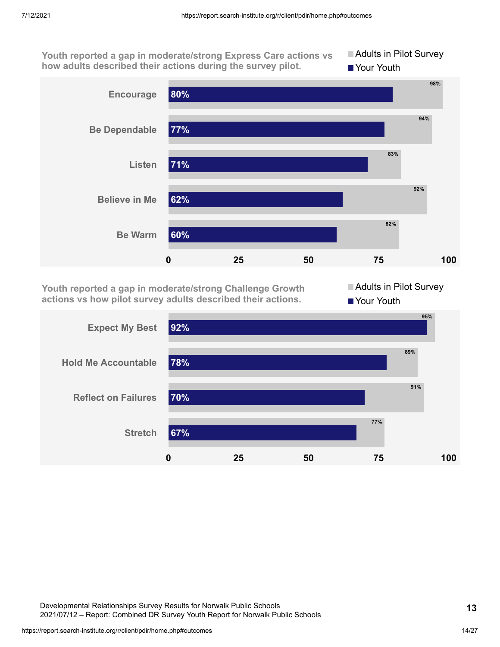**Youth reported a gap in moderate/strong Express Care actions vs how adults described their actions during the survey pilot.**

**Adults in Pilot Survey** Your Youth



**Youth reported a gap in moderate/strong Challenge Growth actions vs how pilot survey adults described their actions.**

Adults in Pilot Survey Your Youth



Developmental Relationships Survey Results for Norwalk Public Schools 2021/07/12 – Report: Combined DR Survey Youth Report for Norwalk Public Schools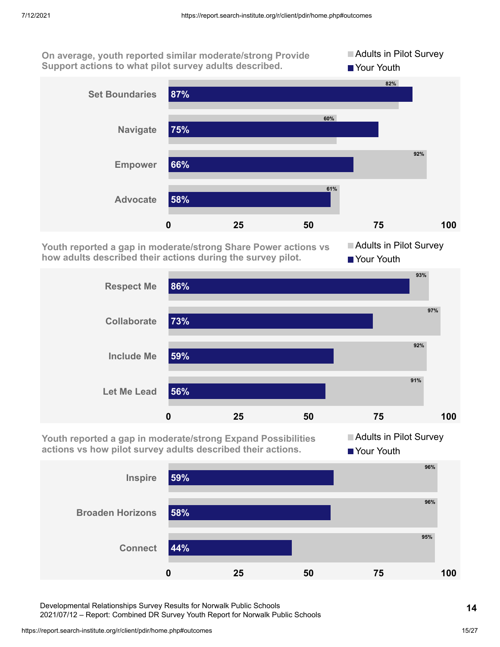**On average, youth reported similar moderate/strong Provide Support actions to what pilot survey adults described.**



**Youth reported a gap in moderate/strong Share Power actions vs how adults described their actions during the survey pilot.**

**Adults in Pilot Survey** ■ Your Youth

**Adults in Pilot Survey** 



**Youth reported a gap in moderate/strong Expand Possibilities actions vs how pilot survey adults described their actions.**

**Adults in Pilot Survey Your Youth** 



Developmental Relationships Survey Results for Norwalk Public Schools

2021/07/12 – Report: Combined DR Survey Youth Report for Norwalk Public Schools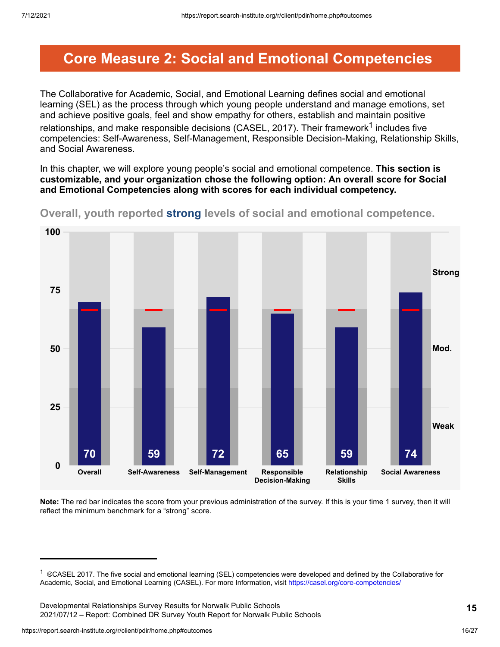## <span id="page-15-0"></span>**Core Measure 2: Social and Emotional Competencies**

The Collaborative for Academic, Social, and Emotional Learning defines social and emotional learning (SEL) as the process through which young people understand and manage emotions, set and achieve positive goals, feel and show empathy for others, establish and maintain positive relationships, and make responsible decisions (CASEL, 2017). Their framework $^{\text{1}}$  includes five competencies: Self-Awareness, Self-Management, Responsible Decision-Making, Relationship Skills, and Social Awareness.

In this chapter, we will explore young people's social and emotional competence. **This section is customizable, and your organization chose the following option: An overall score for Social and Emotional Competencies along with scores for each individual competency.**



**Overall, youth reported strong levels of social and emotional competence.**

**Note:** The red bar indicates the score from your previous administration of the survey. If this is your time 1 survey, then it will reflect the minimum benchmark for a "strong" score.

<sup>&</sup>lt;sup>1</sup> ®CASEL 2017. The five social and emotional learning (SEL) competencies were developed and defined by the Collaborative for Academic, Social, and Emotional Learning (CASEL). For more Information, visit <https://casel.org/core-competencies/>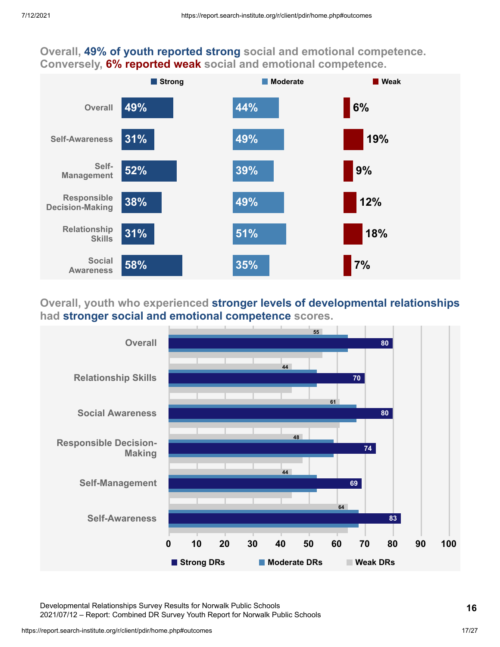### **Overall, 49% of youth reported strong social and emotional competence. Conversely, 6% reported weak social and emotional competence.**



### **Overall, youth who experienced stronger levels of developmental relationships had stronger social and emotional competence scores.**



Developmental Relationships Survey Results for Norwalk Public Schools 2021/07/12 – Report: Combined DR Survey Youth Report for Norwalk Public Schools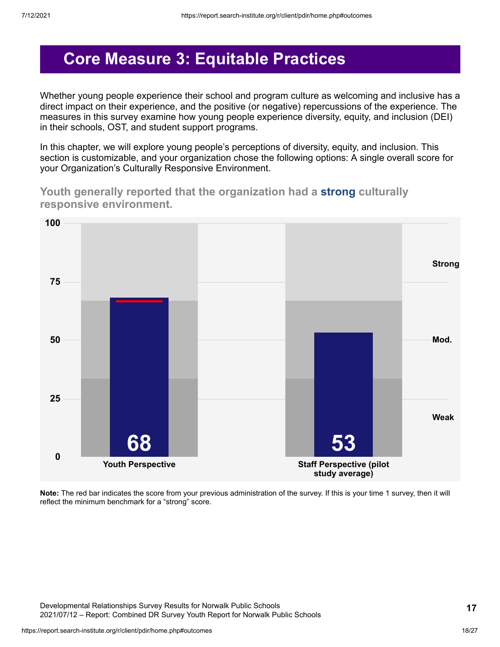## <span id="page-17-0"></span>**Core Measure 3: Equitable Practices**

Whether young people experience their school and program culture as welcoming and inclusive has a direct impact on their experience, and the positive (or negative) repercussions of the experience. The measures in this survey examine how young people experience diversity, equity, and inclusion (DEI) in their schools, OST, and student support programs.

In this chapter, we will explore young people's perceptions of diversity, equity, and inclusion. This section is customizable, and your organization chose the following options: A single overall score for your Organization's Culturally Responsive Environment.

**Youth generally reported that the organization had a strong culturally responsive environment.**



**Note:** The red bar indicates the score from your previous administration of the survey. If this is your time 1 survey, then it will reflect the minimum benchmark for a "strong" score.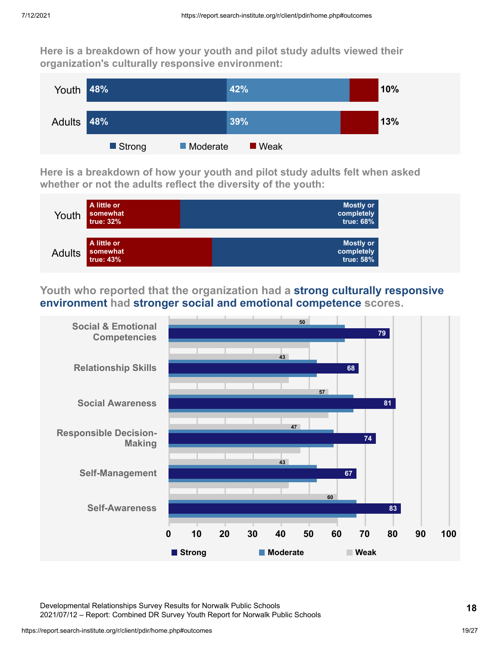**Here is a breakdown of how your youth and pilot study adults viewed their organization's culturally responsive environment:**



**Here is a breakdown of how your youth and pilot study adults felt when asked whether or not the adults reflect the diversity of the youth:**



**Youth who reported that the organization had a strong culturally responsive environment had stronger social and emotional competence scores.**



Developmental Relationships Survey Results for Norwalk Public Schools 2021/07/12 – Report: Combined DR Survey Youth Report for Norwalk Public Schools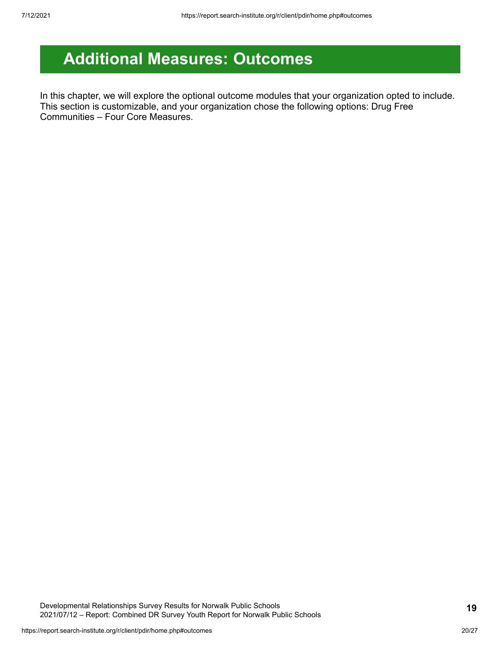# <span id="page-19-0"></span>**Additional Measures: Outcomes**

In this chapter, we will explore the optional outcome modules that your organization opted to include. This section is customizable, and your organization chose the following options: Drug Free Communities – Four Core Measures.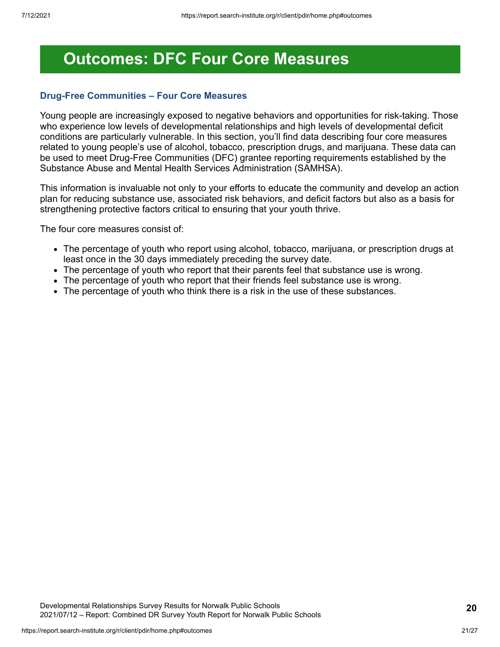## <span id="page-20-0"></span>**Outcomes: DFC Four Core Measures**

### **Drug-Free Communities – Four Core Measures**

Young people are increasingly exposed to negative behaviors and opportunities for risk-taking. Those who experience low levels of developmental relationships and high levels of developmental deficit conditions are particularly vulnerable. In this section, you'll find data describing four core measures related to young people's use of alcohol, tobacco, prescription drugs, and marijuana. These data can be used to meet Drug-Free Communities (DFC) grantee reporting requirements established by the Substance Abuse and Mental Health Services Administration (SAMHSA).

This information is invaluable not only to your efforts to educate the community and develop an action plan for reducing substance use, associated risk behaviors, and deficit factors but also as a basis for strengthening protective factors critical to ensuring that your youth thrive.

The four core measures consist of:

- The percentage of youth who report using alcohol, tobacco, marijuana, or prescription drugs at least once in the 30 days immediately preceding the survey date.
- The percentage of youth who report that their parents feel that substance use is wrong.
- The percentage of youth who report that their friends feel substance use is wrong.
- The percentage of youth who think there is a risk in the use of these substances.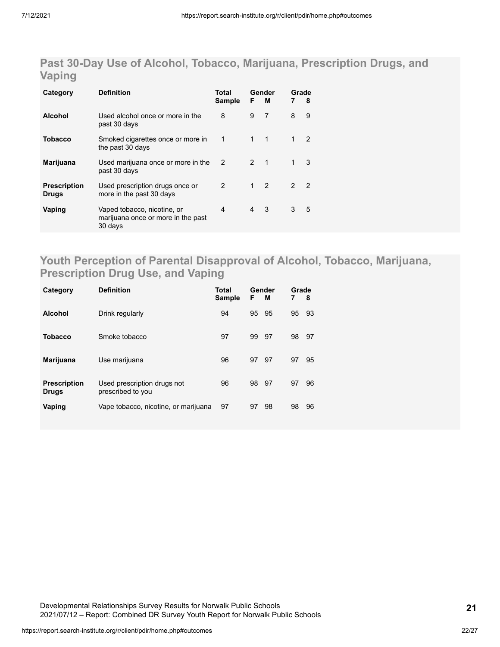### **Past 30-Day Use of Alcohol, Tobacco, Marijuana, Prescription Drugs, and Vaping**

| Category                            | <b>Definition</b>                                                            | Total<br>Sample | F            | Gender<br><b>M</b> | Grade<br>7    | 8              |
|-------------------------------------|------------------------------------------------------------------------------|-----------------|--------------|--------------------|---------------|----------------|
| <b>Alcohol</b>                      | Used alcohol once or more in the<br>past 30 days                             | 8               | 9            | 7                  | 8             | 9              |
| Tobacco                             | Smoked cigarettes once or more in<br>the past 30 days                        | 1               | $\mathbf 1$  | $\mathbf 1$        | 1             | 2              |
| Marijuana                           | Used marijuana once or more in the<br>past 30 days                           | $\mathcal{P}$   | $2 \quad 1$  |                    |               | 3              |
| <b>Prescription</b><br><b>Drugs</b> | Used prescription drugs once or<br>more in the past 30 days                  | $\mathcal{P}$   | $\mathbf{1}$ | $\mathcal{P}$      | $\mathcal{P}$ | $\overline{2}$ |
| Vaping                              | Vaped tobacco, nicotine, or<br>marijuana once or more in the past<br>30 days | 4               | 4            | 3                  | 3             | 5              |

### **Youth Perception of Parental Disapproval of Alcohol, Tobacco, Marijuana, Prescription Drug Use, and Vaping**

| Category                            | <b>Definition</b>                                | <b>Total</b><br><b>Sample</b> | F  | Gender<br>м | Grade<br>7 | 8  |
|-------------------------------------|--------------------------------------------------|-------------------------------|----|-------------|------------|----|
| <b>Alcohol</b>                      | Drink regularly                                  | 94                            | 95 | 95          | 95         | 93 |
| <b>Tobacco</b>                      | Smoke tobacco                                    | 97                            | 99 | - 97        | 98         | 97 |
| <b>Marijuana</b>                    | Use marijuana                                    | 96                            | 97 | 97          | 97         | 95 |
| <b>Prescription</b><br><b>Drugs</b> | Used prescription drugs not<br>prescribed to you | 96                            | 98 | 97          | 97         | 96 |
| Vaping                              | Vape tobacco, nicotine, or marijuana             | 97                            | 97 | 98          | 98         | 96 |

Developmental Relationships Survey Results for Norwalk Public Schools 2021/07/12 – Report: Combined DR Survey Youth Report for Norwalk Public Schools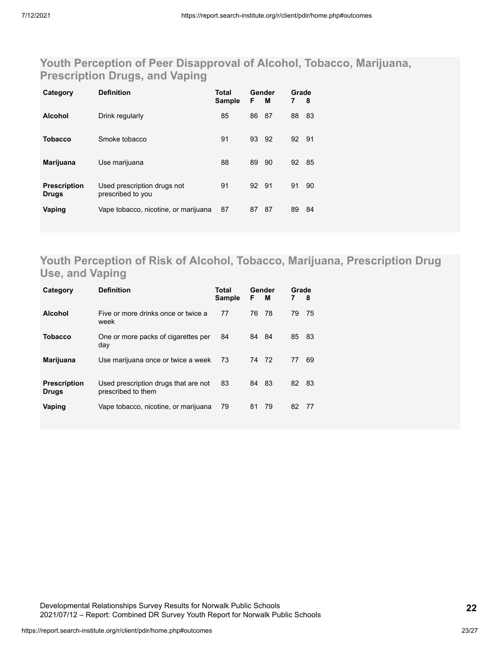### **Youth Perception of Peer Disapproval of Alcohol, Tobacco, Marijuana, Prescription Drugs, and Vaping**

| Category                            | <b>Definition</b>                                | Total<br><b>Sample</b> | F     | Gender<br>м | Grade<br>7 | 8  |
|-------------------------------------|--------------------------------------------------|------------------------|-------|-------------|------------|----|
| <b>Alcohol</b>                      | Drink regularly                                  | 85                     | 86    | 87          | 88         | 83 |
| <b>Tobacco</b>                      | Smoke tobacco                                    | 91                     | 93    | 92          | 92 91      |    |
| <b>Marijuana</b>                    | Use marijuana                                    | 88                     | 89    | 90          | 92         | 85 |
| <b>Prescription</b><br><b>Drugs</b> | Used prescription drugs not<br>prescribed to you | 91                     | 92 91 |             | 91         | 90 |
| Vaping                              | Vape tobacco, nicotine, or marijuana             | 87                     | 87    | 87          | 89         | 84 |

### **Youth Perception of Risk of Alcohol, Tobacco, Marijuana, Prescription Drug Use, and Vaping**

| Category                            | <b>Definition</b>                                          | Total<br><b>Sample</b> | F     | Gender<br>м | Grade<br>7 | - 8  |
|-------------------------------------|------------------------------------------------------------|------------------------|-------|-------------|------------|------|
| <b>Alcohol</b>                      | Five or more drinks once or twice a<br>week                | 77                     | 76    | - 78        | 79         | 75   |
| <b>Tobacco</b>                      | One or more packs of cigarettes per<br>day                 | 84                     | 84 84 |             | 85 83      |      |
| Marijuana                           | Use marijuana once or twice a week                         | 73                     | 74 72 |             | 77         | 69   |
| <b>Prescription</b><br><b>Drugs</b> | Used prescription drugs that are not<br>prescribed to them | 83                     | 84    | - 83        | 82         | - 83 |
| Vaping                              | Vape tobacco, nicotine, or marijuana                       | 79                     | 81    | 79          | 82         | 77   |

Developmental Relationships Survey Results for Norwalk Public Schools 2021/07/12 – Report: Combined DR Survey Youth Report for Norwalk Public Schools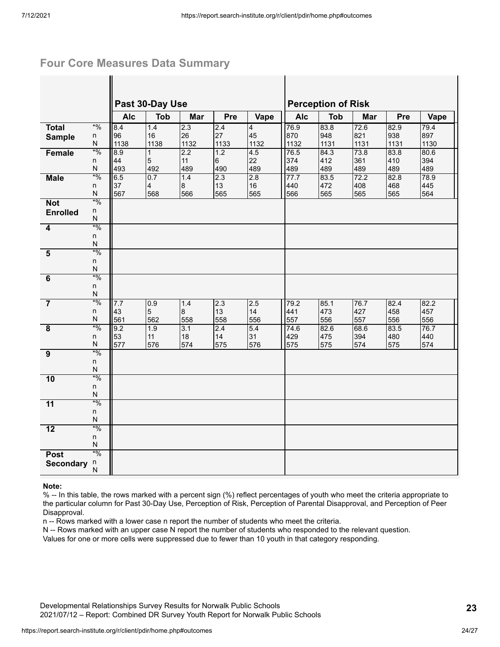### **Four Core Measures Data Summary**

|                         |             |            | Past 30-Day Use |            |            |            | <b>Perception of Risk</b> |             |             |             |             |  |
|-------------------------|-------------|------------|-----------------|------------|------------|------------|---------------------------|-------------|-------------|-------------|-------------|--|
|                         |             | <b>Alc</b> | <b>Tob</b>      | Mar        | Pre        | Vape       | <b>Alc</b>                | <b>Tob</b>  | Mar         | Pre         | Vape        |  |
| <b>Total</b>            | $*9/0$      | 8.4        | 1.4             | 2.3        | 2.4        | 4          | 76.9                      | 83.8        | 72.6        | 82.9        | 79.4        |  |
| <b>Sample</b>           | n<br>N      | 96<br>1138 | 16<br>1138      | 26<br>1132 | 27<br>1133 | 45<br>1132 | 870<br>1132               | 948<br>1131 | 821<br>1131 | 938<br>1131 | 897<br>1130 |  |
| Female                  | $*9/0$      | 8.9        | $\mathbf{1}$    | 2.2        | 1.2        | 4.5        | 76.5                      | 84.3        | 73.8        | 83.8        | 80.6        |  |
|                         | n           | 44         | 5               | 11         | 6          | 22         | 374                       | 412         | 361         | 410         | 394         |  |
|                         | N           | 493        | 492             | 489        | 490        | 489        | 489                       | 489         | 489         | 489         | 489         |  |
| <b>Male</b>             | $*9/0$<br>n | 6.5<br>37  | 0.7             | 1.4        | 2.3<br>13  | 2.8<br>16  | 77.7<br>440               | 83.5<br>472 | 72.2<br>408 | 82.8<br>468 | 78.9<br>445 |  |
|                         | N           | 567        | 4<br>568        | 8<br>566   | 565        | 565        | 566                       | 565         | 565         | 565         | 564         |  |
| <b>Not</b>              | $*9/0$      |            |                 |            |            |            |                           |             |             |             |             |  |
| <b>Enrolled</b>         | n           |            |                 |            |            |            |                           |             |             |             |             |  |
|                         | N           |            |                 |            |            |            |                           |             |             |             |             |  |
| $\overline{4}$          | $*9/0$<br>n |            |                 |            |            |            |                           |             |             |             |             |  |
|                         | N           |            |                 |            |            |            |                           |             |             |             |             |  |
| $\overline{\mathbf{5}}$ | $*9/0$      |            |                 |            |            |            |                           |             |             |             |             |  |
|                         | n           |            |                 |            |            |            |                           |             |             |             |             |  |
|                         | N           |            |                 |            |            |            |                           |             |             |             |             |  |
| $\overline{6}$          | $*9/0$      |            |                 |            |            |            |                           |             |             |             |             |  |
|                         | n<br>N      |            |                 |            |            |            |                           |             |             |             |             |  |
| $\overline{7}$          | $*9/0$      | 7.7        | 0.9             | 1.4        | 2.3        | 2.5        | 79.2                      | 85.1        | 76.7        | 82.4        | 82.2        |  |
|                         | n           | 43         | $\overline{5}$  | 8          | 13         | 14         | 441                       | 473         | 427         | 458         | 457         |  |
|                         | N           | 561        | 562             | 558        | 558        | 556        | 557                       | 556         | 557         | 556         | 556         |  |
| $\overline{\mathbf{8}}$ | $*9/0$      | 9.2<br>53  | 1.9<br>11       | 3.1<br>18  | 2.4<br>14  | 5.4<br>31  | 74.6<br>429               | 82.6<br>475 | 68.6<br>394 | 83.5<br>480 | 76.7<br>440 |  |
|                         | n<br>N      | 577        | 576             | 574        | 575        | 576        | 575                       | 575         | 574         | 575         | 574         |  |
| $\overline{9}$          | $*9/0$      |            |                 |            |            |            |                           |             |             |             |             |  |
|                         | n           |            |                 |            |            |            |                           |             |             |             |             |  |
|                         | N           |            |                 |            |            |            |                           |             |             |             |             |  |
| 10                      | $*9/0$<br>n |            |                 |            |            |            |                           |             |             |             |             |  |
|                         | N           |            |                 |            |            |            |                           |             |             |             |             |  |
| $\overline{11}$         | $*0/0$      |            |                 |            |            |            |                           |             |             |             |             |  |
|                         | n           |            |                 |            |            |            |                           |             |             |             |             |  |
|                         | N           |            |                 |            |            |            |                           |             |             |             |             |  |
| $\overline{12}$         | $*9/0$      |            |                 |            |            |            |                           |             |             |             |             |  |
|                         | n<br>N      |            |                 |            |            |            |                           |             |             |             |             |  |
| <b>Post</b>             | $*9/0$      |            |                 |            |            |            |                           |             |             |             |             |  |
| <b>Secondary</b>        | n           |            |                 |            |            |            |                           |             |             |             |             |  |
|                         | N           |            |                 |            |            |            |                           |             |             |             |             |  |

#### **Note:**

% -- In this table, the rows marked with a percent sign (%) reflect percentages of youth who meet the criteria appropriate to the particular column for Past 30-Day Use, Perception of Risk, Perception of Parental Disapproval, and Perception of Peer Disapproval.

n -- Rows marked with a lower case n report the number of students who meet the criteria.

N -- Rows marked with an upper case N report the number of students who responded to the relevant question.

Values for one or more cells were suppressed due to fewer than 10 youth in that category responding.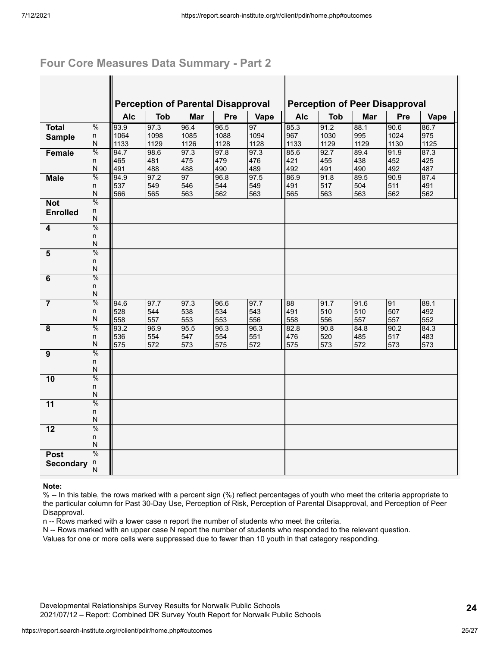### **Four Core Measures Data Summary - Part 2**

 $\mathbf{I}$ 

|                         |                         |             |             | <b>Perception of Parental Disapproval</b> |             | <b>Perception of Peer Disapproval</b> |             |             |             |             |            |
|-------------------------|-------------------------|-------------|-------------|-------------------------------------------|-------------|---------------------------------------|-------------|-------------|-------------|-------------|------------|
|                         |                         | <b>Alc</b>  | <b>Tob</b>  | Mar                                       | Pre         | Vape                                  | <b>Alc</b>  | <b>Tob</b>  | Mar         | Pre         | Vape       |
| <b>Total</b>            | $\frac{0}{0}$           | 93.9        | 97.3        | 96.4                                      | 96.5        | 97                                    | 85.3        | 91.2        | 88.1        | 90.6        | 86.7       |
| <b>Sample</b>           | n                       | 1064        | 1098        | 1085                                      | 1088        | 1094                                  | 967         | 1030        | 995         | 1024        | 975        |
|                         | N                       | 1133        | 1129        | 1126                                      | 1128        | 1128                                  | 1133        | 1129        | 1129        | 1130        | 1125       |
| Female                  | $\frac{0}{0}$           | 94.7        | 98.6        | 97.3                                      | 97.8        | 97.3                                  | 85.6        | 92.7        | 89.4        | 91.9        | 87.3       |
|                         | n                       | 465         | 481         | 475                                       | 479         | 476                                   | 421         | 455         | 438         | 452         | 425        |
|                         | N<br>$\frac{0}{0}$      | 491         | 488         | 488                                       | 490         | 489                                   | 492         | 491         | 490         | 492         | 487        |
| <b>Male</b>             | n                       | 94.9<br>537 | 97.2<br>549 | 97<br>546                                 | 96.8<br>544 | 97.5<br>549                           | 86.9<br>491 | 91.8<br>517 | 89.5<br>504 | 90.9<br>511 | 87.4       |
|                         | $\overline{\mathsf{N}}$ | 566         | 565         | 563                                       | 562         | 563                                   | 565         | 563         | 563         | 562         | 491<br>562 |
| <b>Not</b>              | $\frac{0}{0}$           |             |             |                                           |             |                                       |             |             |             |             |            |
|                         | n                       |             |             |                                           |             |                                       |             |             |             |             |            |
| <b>Enrolled</b>         | N                       |             |             |                                           |             |                                       |             |             |             |             |            |
| 4                       | $\frac{0}{0}$           |             |             |                                           |             |                                       |             |             |             |             |            |
|                         | n                       |             |             |                                           |             |                                       |             |             |             |             |            |
|                         | N                       |             |             |                                           |             |                                       |             |             |             |             |            |
| $\overline{\mathbf{5}}$ | $\frac{0}{0}$           |             |             |                                           |             |                                       |             |             |             |             |            |
|                         | n                       |             |             |                                           |             |                                       |             |             |             |             |            |
|                         | $\overline{\mathsf{N}}$ |             |             |                                           |             |                                       |             |             |             |             |            |
| 6                       | $\frac{0}{0}$           |             |             |                                           |             |                                       |             |             |             |             |            |
|                         | n                       |             |             |                                           |             |                                       |             |             |             |             |            |
|                         | $\mathsf{N}$            |             |             |                                           |             |                                       |             |             |             |             |            |
| $\overline{7}$          | $\frac{0}{0}$           | 94.6        | 97.7        | 97.3                                      | 96.6        | 97.7                                  | 88          | 91.7        | 91.6        | 91          | 89.1       |
|                         | n                       | 528         | 544         | 538                                       | 534         | 543                                   | 491         | 510         | 510         | 507         | 492        |
|                         | $\overline{\mathsf{N}}$ | 558         | 557         | 553                                       | 553         | 556                                   | 558         | 556         | 557         | 557         | 552        |
| $\overline{\mathbf{8}}$ | $\frac{0}{0}$           | 93.2        | 96.9        | 95.5                                      | 96.3        | 96.3                                  | 82.8        | 90.8        | 84.8        | 90.2        | 84.3       |
|                         | n                       | 536         | 554         | 547                                       | 554         | 551                                   | 476         | 520         | 485         | 517         | 483        |
|                         | $\overline{\mathsf{N}}$ | 575         | 572         | 573                                       | 575         | 572                                   | 575         | 573         | 572         | 573         | 573        |
| $\overline{9}$          | $\frac{0}{0}$           |             |             |                                           |             |                                       |             |             |             |             |            |
|                         | n                       |             |             |                                           |             |                                       |             |             |             |             |            |
|                         | $\overline{\mathsf{N}}$ |             |             |                                           |             |                                       |             |             |             |             |            |
| 10                      | $\frac{0}{0}$           |             |             |                                           |             |                                       |             |             |             |             |            |
|                         | n<br>N                  |             |             |                                           |             |                                       |             |             |             |             |            |
|                         | $\frac{0}{0}$           |             |             |                                           |             |                                       |             |             |             |             |            |
| $\overline{11}$         |                         |             |             |                                           |             |                                       |             |             |             |             |            |
|                         | n<br>N                  |             |             |                                           |             |                                       |             |             |             |             |            |
| $\overline{12}$         | $\frac{0}{0}$           |             |             |                                           |             |                                       |             |             |             |             |            |
|                         | n                       |             |             |                                           |             |                                       |             |             |             |             |            |
|                         | N                       |             |             |                                           |             |                                       |             |             |             |             |            |
| <b>Post</b>             | $\frac{0}{0}$           |             |             |                                           |             |                                       |             |             |             |             |            |
| <b>Secondary</b>        | n                       |             |             |                                           |             |                                       |             |             |             |             |            |
|                         | N                       |             |             |                                           |             |                                       |             |             |             |             |            |
|                         |                         |             |             |                                           |             |                                       |             |             |             |             |            |

#### **Note:**

% -- In this table, the rows marked with a percent sign (%) reflect percentages of youth who meet the criteria appropriate to the particular column for Past 30-Day Use, Perception of Risk, Perception of Parental Disapproval, and Perception of Peer Disapproval.

n -- Rows marked with a lower case n report the number of students who meet the criteria.

N -- Rows marked with an upper case N report the number of students who responded to the relevant question.

Values for one or more cells were suppressed due to fewer than 10 youth in that category responding.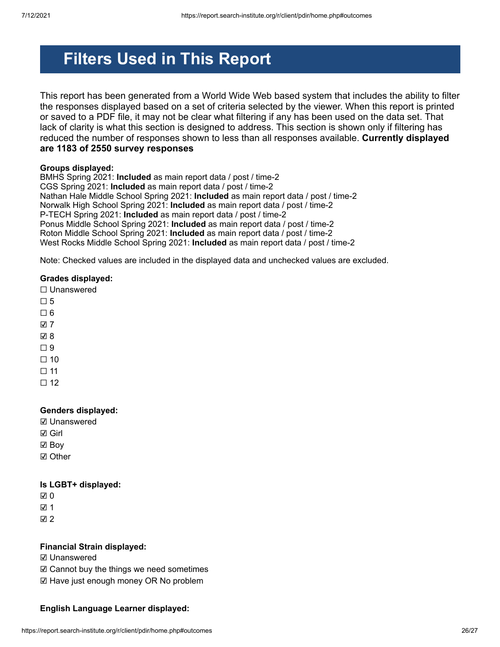# **Filters Used in This Report**

This report has been generated from a World Wide Web based system that includes the ability to filter the responses displayed based on a set of criteria selected by the viewer. When this report is printed or saved to a PDF file, it may not be clear what filtering if any has been used on the data set. That lack of clarity is what this section is designed to address. This section is shown only if filtering has reduced the number of responses shown to less than all responses available. **Currently displayed are 1183 of 2550 survey responses**

#### **Groups displayed:**

BMHS Spring 2021: **Included** as main report data / post / time-2 CGS Spring 2021: **Included** as main report data / post / time-2 Nathan Hale Middle School Spring 2021: **Included** as main report data / post / time-2 Norwalk High School Spring 2021: **Included** as main report data / post / time-2 P-TECH Spring 2021: **Included** as main report data / post / time-2 Ponus Middle School Spring 2021: **Included** as main report data / post / time-2 Roton Middle School Spring 2021: **Included** as main report data / post / time-2 West Rocks Middle School Spring 2021: **Included** as main report data / post / time-2

Note: Checked values are included in the displayed data and unchecked values are excluded.

#### **Grades displayed:**

☐ Unanswered

- $\Pi$  5
- $\Box$  6
- ☑ 7
- ☑ 8
- $\square$  9
- $\Box$  10
- $\Box$  11
- $\Box$  12

### **Genders displayed:**

- ☑ Unanswered
- ☑ Girl
- ☑ Boy
- ☑ Other

#### **Is LGBT+ displayed:**

- ☑ 0
- ☑ 1

☑ 2

#### **Financial Strain displayed:**

- ☑ Unanswered
- ☑ Cannot buy the things we need sometimes
- ☑ Have just enough money OR No problem

### **English Language Learner displayed:**